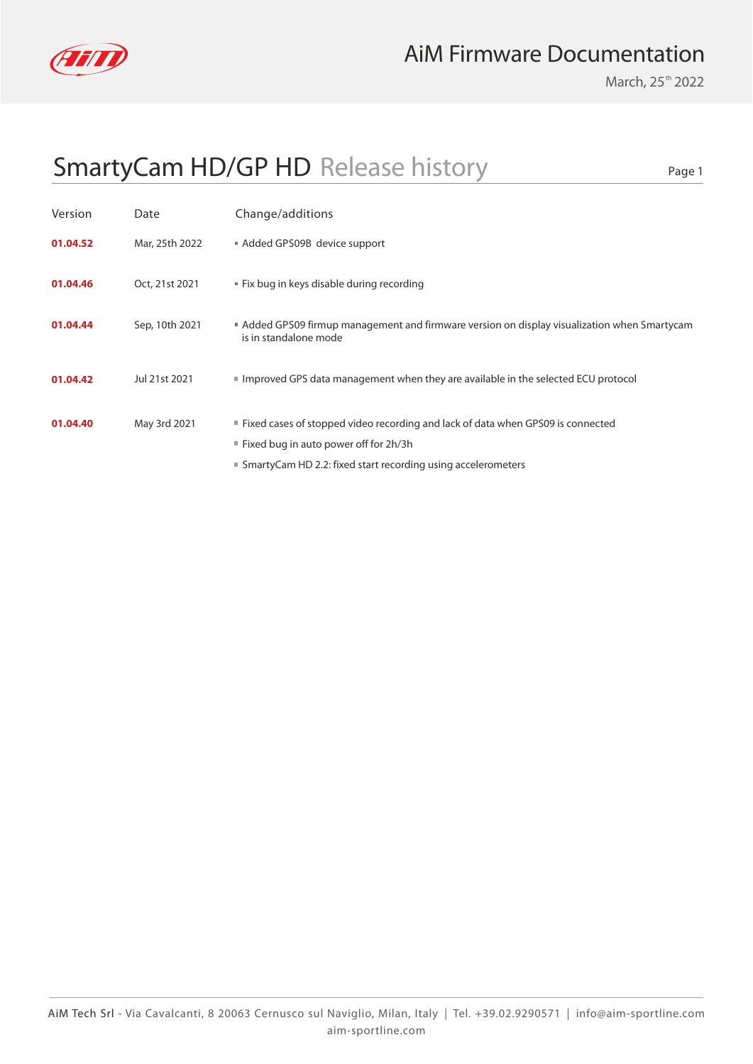

March, 25<sup>th</sup> 2022

Page 1

## SmartyCam HD/GP HD Release history

| Version  | Date           | Change/additions                                                                                                                                                                               |
|----------|----------------|------------------------------------------------------------------------------------------------------------------------------------------------------------------------------------------------|
| 01.04.52 | Mar, 25th 2022 | Added GPS09B device support                                                                                                                                                                    |
| 01.04.46 | Oct, 21st 2021 | " Fix bug in keys disable during recording                                                                                                                                                     |
| 01.04.44 | Sep, 10th 2021 | Added GPS09 firmup management and firmware version on display visualization when Smartycam<br>is in standalone mode                                                                            |
| 01.04.42 | Jul 21st 2021  | Improved GPS data management when they are available in the selected ECU protocol                                                                                                              |
| 01.04.40 | May 3rd 2021   | ■ Fixed cases of stopped video recording and lack of data when GPS09 is connected<br>■ Fixed bug in auto power off for 2h/3h<br>■ SmartyCam HD 2.2: fixed start recording using accelerometers |
|          |                |                                                                                                                                                                                                |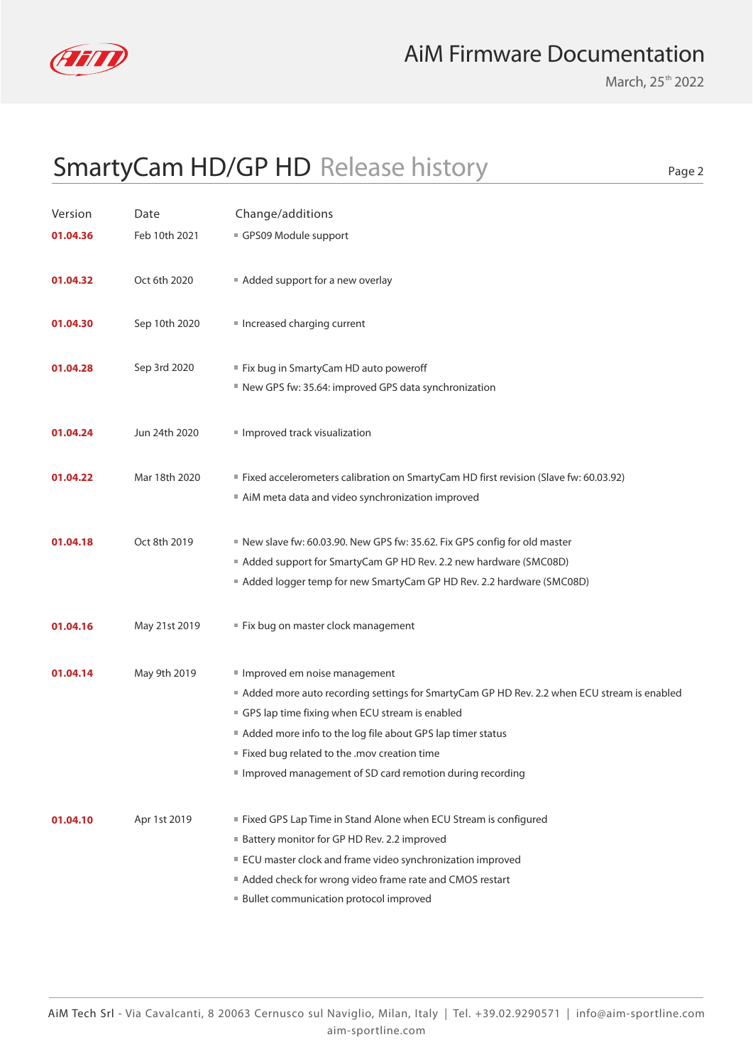

March, 25<sup>th</sup> 2022

Page 2

# SmartyCam HD/GP HD Release history

| Version  | Date          | Change/additions                                                                           |
|----------|---------------|--------------------------------------------------------------------------------------------|
| 01.04.36 | Feb 10th 2021 | GPS09 Module support                                                                       |
|          |               |                                                                                            |
| 01.04.32 | Oct 6th 2020  | Added support for a new overlay                                                            |
|          |               |                                                                                            |
| 01.04.30 | Sep 10th 2020 | Increased charging current                                                                 |
|          |               |                                                                                            |
| 01.04.28 | Sep 3rd 2020  | " Fix bug in SmartyCam HD auto poweroff                                                    |
|          |               | New GPS fw: 35.64: improved GPS data synchronization                                       |
|          |               |                                                                                            |
| 01.04.24 | Jun 24th 2020 | Improved track visualization                                                               |
|          |               |                                                                                            |
| 01.04.22 | Mar 18th 2020 | ■ Fixed accelerometers calibration on SmartyCam HD first revision (Slave fw: 60.03.92)     |
|          |               | AiM meta data and video synchronization improved                                           |
|          |               |                                                                                            |
| 01.04.18 | Oct 8th 2019  | New slave fw: 60.03.90. New GPS fw: 35.62. Fix GPS config for old master                   |
|          |               | Added support for SmartyCam GP HD Rev. 2.2 new hardware (SMC08D)                           |
|          |               | Added logger temp for new SmartyCam GP HD Rev. 2.2 hardware (SMC08D)                       |
|          | May 21st 2019 | Fix bug on master clock management                                                         |
| 01.04.16 |               |                                                                                            |
| 01.04.14 | May 9th 2019  | Improved em noise management                                                               |
|          |               | Added more auto recording settings for SmartyCam GP HD Rev. 2.2 when ECU stream is enabled |
|          |               | GPS lap time fixing when ECU stream is enabled                                             |
|          |               | Added more info to the log file about GPS lap timer status                                 |
|          |               | ■ Fixed bug related to the .mov creation time                                              |
|          |               | Improved management of SD card remotion during recording                                   |
|          |               |                                                                                            |
| 01.04.10 | Apr 1st 2019  | Fixed GPS Lap Time in Stand Alone when ECU Stream is configured                            |
|          |               | <b>Battery monitor for GP HD Rev. 2.2 improved</b>                                         |
|          |               | ECU master clock and frame video synchronization improved                                  |
|          |               | Added check for wrong video frame rate and CMOS restart                                    |
|          |               | <b>Bullet communication protocol improved</b>                                              |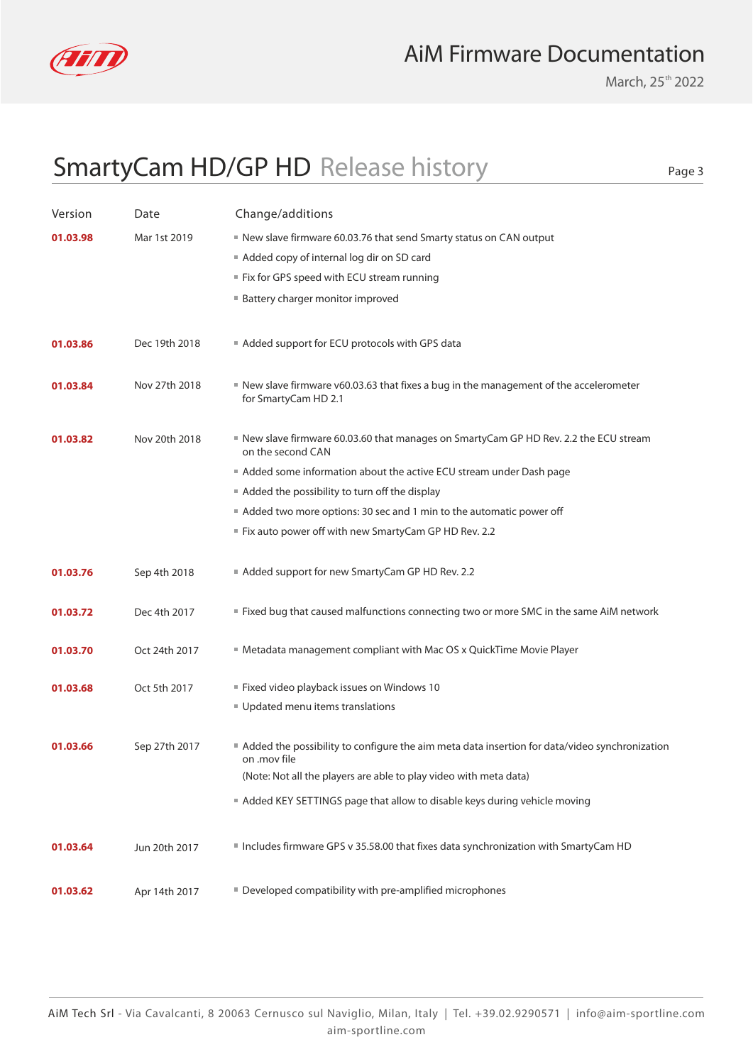

March, 25<sup>th</sup> 2022

### **01.03.64** SmartyCam HD/GP HD Release history Jun 20th 2017 **Includes firmware GPS v 35.58.00 that fixes data synchronization with SmartyCam HD** Version Date Change/additions Page 3 **01.03.62** Apr 14th 2017 **Developed compatibility with pre-amplified microphones 01.03.66 01.03.68 01.03.70** Sep 27th 2017 Oct 5th 2017 Oct 24th 2017 Added the possibility to configure the aim meta data insertion for data/video synchronization on .mov file ■ Fixed video playback issues on Windows 10 Metadata management compliant with Mac OS x QuickTime Movie Player (Note: Not all the players are able to play video with meta data) ■ Added KEY SETTINGS page that allow to disable keys during vehicle moving Updated menu items translations **01.03.72** Dec 4th 2017 **Fixed bug that caused malfunctions connecting two or more SMC in the same AiM network 01.03.76** Sep 4th 2018 **Added support for new SmartyCam GP HD Rev. 2.2 01.03.82** Nov 20th 2018 **New slave firmware 60.03.60 that manages on SmartyCam GP HD Rev. 2.2 the ECU stream** on the second CAN ■ Added some information about the active ECU stream under Dash page ■ Added the possibility to turn off the display ■ New slave firmware 60.03.76 that send Smarty status on CAN output ■ Added two more options: 30 sec and 1 min to the automatic power off ■ Added copy of internal log dir on SD card ■ Fix auto power off with new SmartyCam GP HD Rev. 2.2 ■ Fix for GPS speed with ECU stream running ■ Battery charger monitor improved **01.03.84** Nov 27th 2018 **New slave firmware v60.03.63** that fixes a bug in the management of the accelerometer for SmartyCam HD 2.1 **01.03.86** Dec 19th 2018 Added support for ECU protocols with GPS data **01.03.98** Mar 1st 2019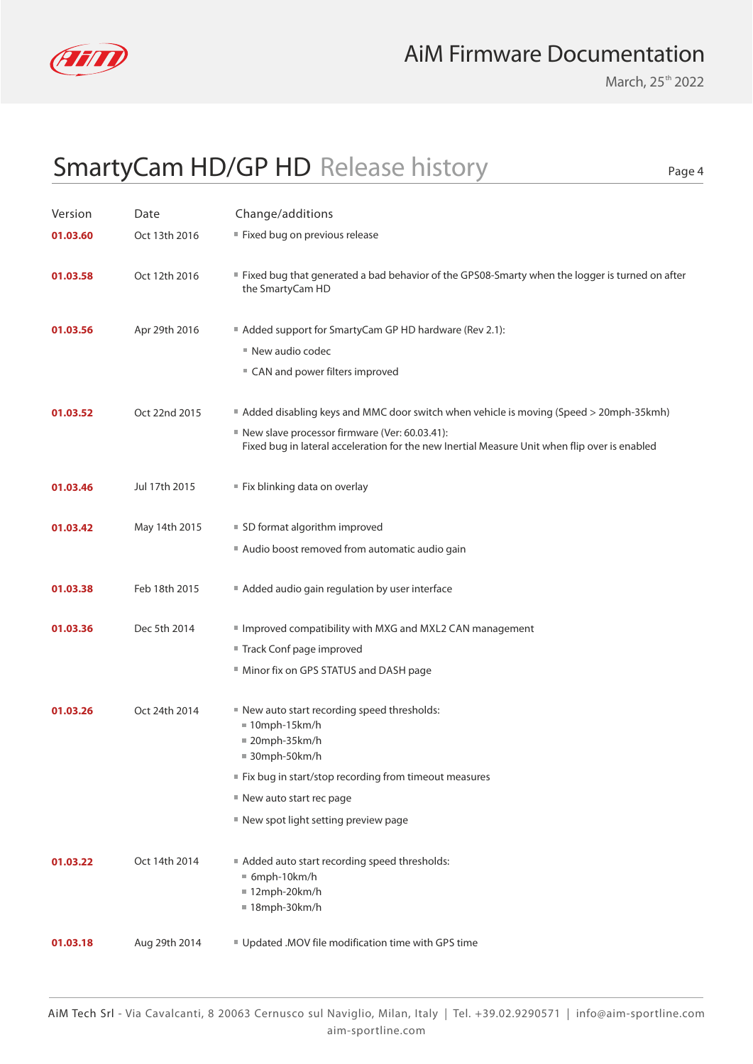

March, 25<sup>th</sup> 2022

#### **01.03.22** SmartyCam HD/GP HD Release history Oct 14th 2014 **Added auto start recording speed thresholds:** 6mph-10km/h  $12$ mph-20km/h  $18$ mph-30km/h Version Date Change/additions Page 4 **01.03.18** Aug 29th 2014 Updated .MOV file modification time with GPS time **01.03.36 01.03.56 01.03.58 01.03.60 01.03.52 01.03.42 01.03.38 01.03.46 01.03.26** Dec 5th 2014 Apr 29th 2016 Oct 12th 2016 Oct 13th 2016 Oct 22nd 2015 May 14th 2015 Feb 18th 2015 Jul 17th 2015 Oct 24th 2014 ■ Track Conf page improved ■ New audio codec Added disabling keys and MMC door switch when vehicle is moving (Speed > 20mph-35kmh) ■ Improved compatibility with MXG and MXL2 CAN management ■ Added support for SmartyCam GP HD hardware (Rev 2.1): ■ Fix bug in start/stop recording from timeout measures ■ Minor fix on GPS STATUS and DASH page ■ CAN and power filters improved New slave processor firmware (Ver: 60.03.41): Fixed bug in lateral acceleration for the new Inertial Measure Unit when flip over is enabled Fixed bug that generated a bad behavior of the GPS08-Smarty when the logger is turned on after the SmartyCam HD **Fixed bug on previous release** ■ SD format algorithm improved Added audio gain regulation by user interface ■ Fix blinking data on overlay ■ New auto start recording speed thresholds:  $10$ mph-15km/h  $= 20$ mph-35 $km/h$ ■ 30mph-50km/h ■ Audio boost removed from automatic audio gain ■ New auto start rec page New spot light setting preview page